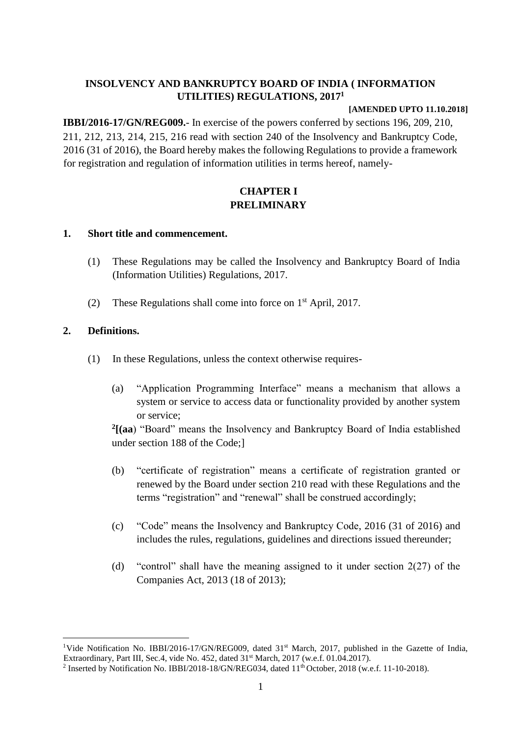## **INSOLVENCY AND BANKRUPTCY BOARD OF INDIA ( INFORMATION UTILITIES) REGULATIONS, 2017<sup>1</sup>**

#### **[AMENDED UPTO 11.10.2018]**

**IBBI/2016-17/GN/REG009.**- In exercise of the powers conferred by sections 196, 209, 210, 211, 212, 213, 214, 215, 216 read with section 240 of the Insolvency and Bankruptcy Code, 2016 (31 of 2016), the Board hereby makes the following Regulations to provide a framework for registration and regulation of information utilities in terms hereof, namely-

## **CHAPTER I PRELIMINARY**

### **1. Short title and commencement.**

- (1) These Regulations may be called the Insolvency and Bankruptcy Board of India (Information Utilities) Regulations, 2017.
- (2) These Regulations shall come into force on  $1<sup>st</sup>$  April, 2017.

## **2. Definitions.**

- (1) In these Regulations, unless the context otherwise requires-
	- (a) "Application Programming Interface" means a mechanism that allows a system or service to access data or functionality provided by another system or service;

**2 [(aa**) "Board" means the Insolvency and Bankruptcy Board of India established under section 188 of the Code;]

- (b) "certificate of registration" means a certificate of registration granted or renewed by the Board under section 210 read with these Regulations and the terms "registration" and "renewal" shall be construed accordingly;
- (c) "Code" means the Insolvency and Bankruptcy Code, 2016 (31 of 2016) and includes the rules, regulations, guidelines and directions issued thereunder;
- (d) "control" shall have the meaning assigned to it under section  $2(27)$  of the Companies Act, 2013 (18 of 2013);

<sup>1</sup> <sup>1</sup>Vide Notification No. IBBI/2016-17/GN/REG009, dated 31<sup>st</sup> March, 2017, published in the Gazette of India, Extraordinary, Part III, Sec.4, vide No. 452, dated 31<sup>st</sup> March, 2017 (w.e.f. 01.04.2017).

<sup>&</sup>lt;sup>2</sup> Inserted by Notification No. IBBI/2018-18/GN/REG034, dated  $11<sup>th</sup>$  October, 2018 (w.e.f. 11-10-2018).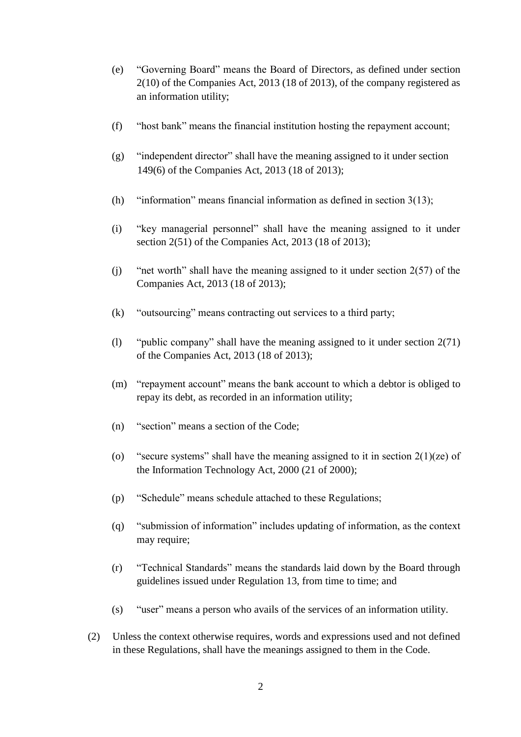- (e) "Governing Board" means the Board of Directors, as defined under section 2(10) of the Companies Act, 2013 (18 of 2013), of the company registered as an information utility;
- (f) "host bank" means the financial institution hosting the repayment account;
- (g) "independent director" shall have the meaning assigned to it under section 149(6) of the Companies Act, 2013 (18 of 2013);
- (h) "information" means financial information as defined in section 3(13);
- (i) "key managerial personnel" shall have the meaning assigned to it under section 2(51) of the Companies Act, 2013 (18 of 2013);
- (j) "net worth" shall have the meaning assigned to it under section 2(57) of the Companies Act, 2013 (18 of 2013);
- (k) "outsourcing" means contracting out services to a third party;
- (l) "public company" shall have the meaning assigned to it under section 2(71) of the Companies Act, 2013 (18 of 2013);
- (m) "repayment account" means the bank account to which a debtor is obliged to repay its debt, as recorded in an information utility;
- (n) "section" means a section of the Code;
- (o) "secure systems" shall have the meaning assigned to it in section  $2(1)(ze)$  of the Information Technology Act, 2000 (21 of 2000);
- (p) "Schedule" means schedule attached to these Regulations;
- (q) "submission of information" includes updating of information, as the context may require;
- (r) "Technical Standards" means the standards laid down by the Board through guidelines issued under Regulation 13, from time to time; and
- (s) "user" means a person who avails of the services of an information utility.
- (2) Unless the context otherwise requires, words and expressions used and not defined in these Regulations, shall have the meanings assigned to them in the Code.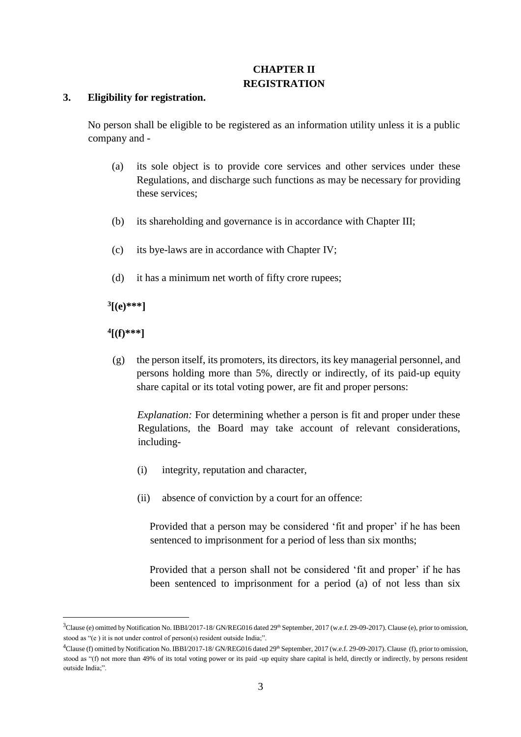## **CHAPTER II REGISTRATION**

#### **3. Eligibility for registration.**

No person shall be eligible to be registered as an information utility unless it is a public company and -

- (a) its sole object is to provide core services and other services under these Regulations, and discharge such functions as may be necessary for providing these services;
- (b) its shareholding and governance is in accordance with Chapter III;
- (c) its bye-laws are in accordance with Chapter IV;
- (d) it has a minimum net worth of fifty crore rupees;

**3 [(e)\*\*\*]** 

**4 [(f)\*\*\*]** 

<u>.</u>

(g) the person itself, its promoters, its directors, its key managerial personnel, and persons holding more than 5%, directly or indirectly, of its paid-up equity share capital or its total voting power, are fit and proper persons:

*Explanation:* For determining whether a person is fit and proper under these Regulations, the Board may take account of relevant considerations, including-

- (i) integrity, reputation and character,
- (ii) absence of conviction by a court for an offence:

Provided that a person may be considered 'fit and proper' if he has been sentenced to imprisonment for a period of less than six months;

Provided that a person shall not be considered 'fit and proper' if he has been sentenced to imprisonment for a period (a) of not less than six

<sup>&</sup>lt;sup>3</sup>Clause (e) omitted by Notification No. IBBI/2017-18/ GN/REG016 dated 29<sup>th</sup> September, 2017 (w.e.f. 29-09-2017). Clause (e), prior to omission, stood as "(e ) it is not under control of person(s) resident outside India;".

<sup>&</sup>lt;sup>4</sup>Clause (f) omitted by Notification No. IBBI/2017-18/ GN/REG016 dated 29<sup>th</sup> September, 2017 (w.e.f. 29-09-2017). Clause (f), prior to omission, stood as "(f) not more than 49% of its total voting power or its paid -up equity share capital is held, directly or indirectly, by persons resident outside India;".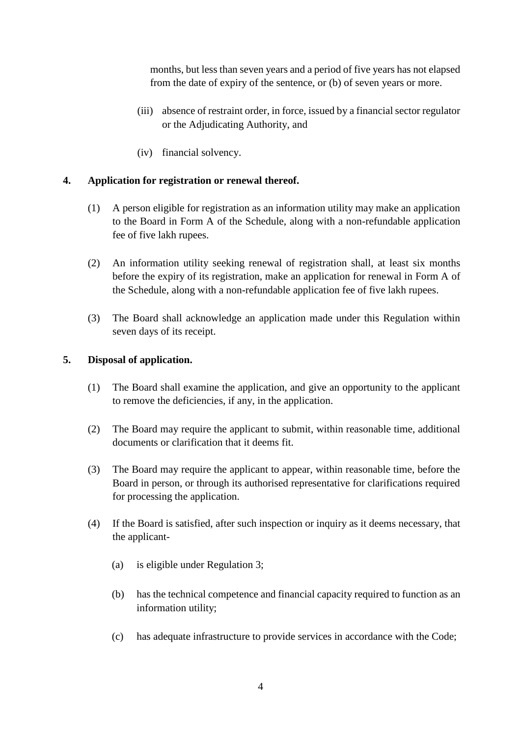months, but less than seven years and a period of five years has not elapsed from the date of expiry of the sentence, or (b) of seven years or more.

- (iii) absence of restraint order, in force, issued by a financial sector regulator or the Adjudicating Authority, and
- (iv) financial solvency.

## **4. Application for registration or renewal thereof.**

- (1) A person eligible for registration as an information utility may make an application to the Board in Form A of the Schedule, along with a non-refundable application fee of five lakh rupees.
- (2) An information utility seeking renewal of registration shall, at least six months before the expiry of its registration, make an application for renewal in Form A of the Schedule, along with a non-refundable application fee of five lakh rupees.
- (3) The Board shall acknowledge an application made under this Regulation within seven days of its receipt.

### **5. Disposal of application.**

- (1) The Board shall examine the application, and give an opportunity to the applicant to remove the deficiencies, if any, in the application.
- (2) The Board may require the applicant to submit, within reasonable time, additional documents or clarification that it deems fit.
- (3) The Board may require the applicant to appear, within reasonable time, before the Board in person, or through its authorised representative for clarifications required for processing the application.
- (4) If the Board is satisfied, after such inspection or inquiry as it deems necessary, that the applicant-
	- (a) is eligible under Regulation 3;
	- (b) has the technical competence and financial capacity required to function as an information utility;
	- (c) has adequate infrastructure to provide services in accordance with the Code;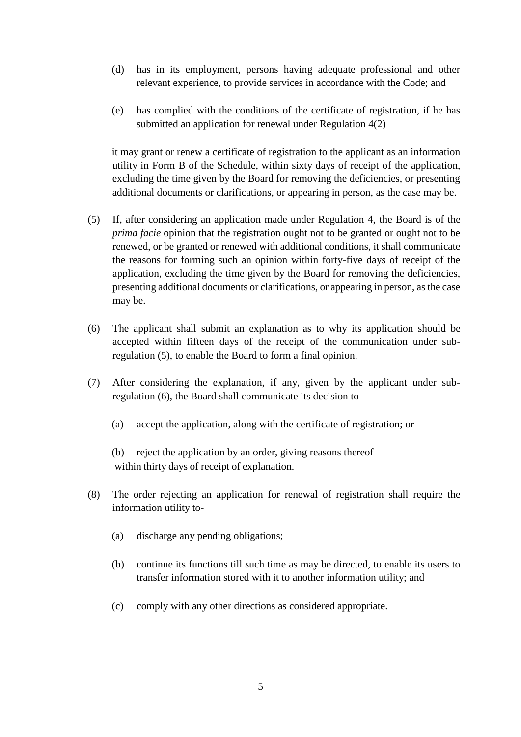- (d) has in its employment, persons having adequate professional and other relevant experience, to provide services in accordance with the Code; and
- (e) has complied with the conditions of the certificate of registration, if he has submitted an application for renewal under Regulation 4(2)

it may grant or renew a certificate of registration to the applicant as an information utility in Form B of the Schedule, within sixty days of receipt of the application, excluding the time given by the Board for removing the deficiencies, or presenting additional documents or clarifications, or appearing in person, as the case may be.

- (5) If, after considering an application made under Regulation 4, the Board is of the *prima facie* opinion that the registration ought not to be granted or ought not to be renewed, or be granted or renewed with additional conditions, it shall communicate the reasons for forming such an opinion within forty-five days of receipt of the application, excluding the time given by the Board for removing the deficiencies, presenting additional documents or clarifications, or appearing in person, as the case may be.
- (6) The applicant shall submit an explanation as to why its application should be accepted within fifteen days of the receipt of the communication under subregulation (5), to enable the Board to form a final opinion.
- (7) After considering the explanation, if any, given by the applicant under subregulation (6), the Board shall communicate its decision to-
	- (a) accept the application, along with the certificate of registration; or

(b) reject the application by an order, giving reasons thereof within thirty days of receipt of explanation.

- (8) The order rejecting an application for renewal of registration shall require the information utility to-
	- (a) discharge any pending obligations;
	- (b) continue its functions till such time as may be directed, to enable its users to transfer information stored with it to another information utility; and
	- (c) comply with any other directions as considered appropriate.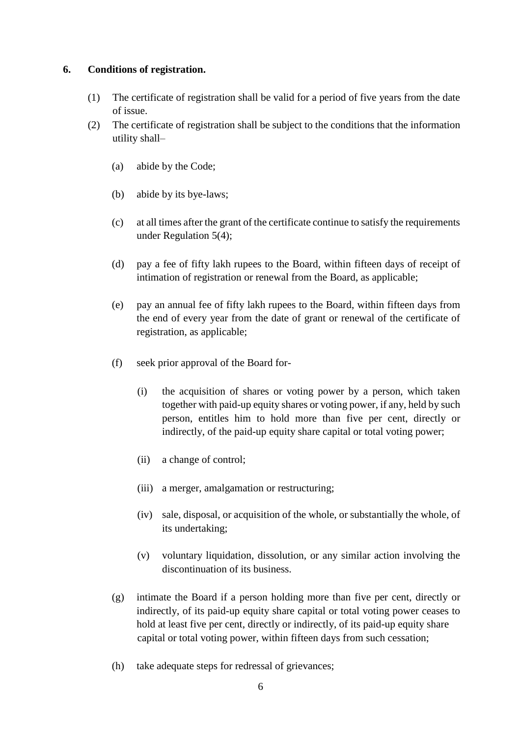#### **6. Conditions of registration.**

- (1) The certificate of registration shall be valid for a period of five years from the date of issue.
- (2) The certificate of registration shall be subject to the conditions that the information utility shall–
	- (a) abide by the Code;
	- (b) abide by its bye-laws;
	- (c) at all times after the grant of the certificate continue to satisfy the requirements under Regulation 5(4);
	- (d) pay a fee of fifty lakh rupees to the Board, within fifteen days of receipt of intimation of registration or renewal from the Board, as applicable;
	- (e) pay an annual fee of fifty lakh rupees to the Board, within fifteen days from the end of every year from the date of grant or renewal of the certificate of registration, as applicable;
	- (f) seek prior approval of the Board for-
		- (i) the acquisition of shares or voting power by a person, which taken together with paid-up equity shares or voting power, if any, held by such person, entitles him to hold more than five per cent, directly or indirectly, of the paid-up equity share capital or total voting power;
		- (ii) a change of control;
		- (iii) a merger, amalgamation or restructuring;
		- (iv) sale, disposal, or acquisition of the whole, or substantially the whole, of its undertaking;
		- (v) voluntary liquidation, dissolution, or any similar action involving the discontinuation of its business.
	- (g) intimate the Board if a person holding more than five per cent, directly or indirectly, of its paid-up equity share capital or total voting power ceases to hold at least five per cent, directly or indirectly, of its paid-up equity share capital or total voting power, within fifteen days from such cessation;
	- (h) take adequate steps for redressal of grievances;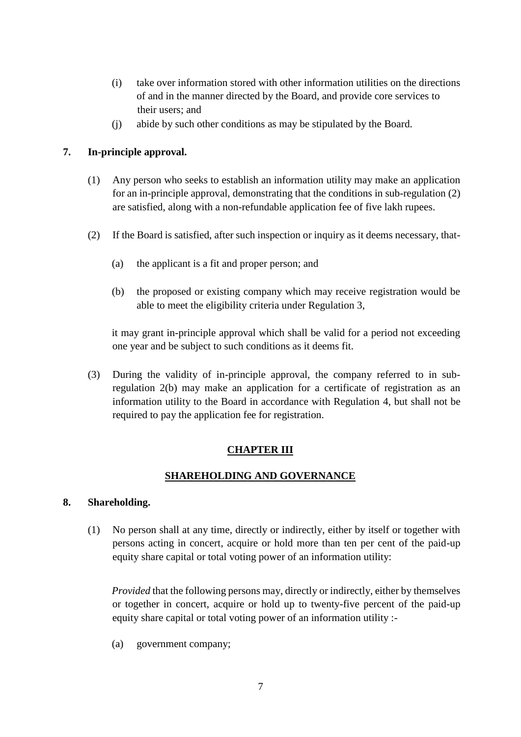- (i) take over information stored with other information utilities on the directions of and in the manner directed by the Board, and provide core services to their users; and
- (j) abide by such other conditions as may be stipulated by the Board.

## **7. In-principle approval.**

- (1) Any person who seeks to establish an information utility may make an application for an in-principle approval, demonstrating that the conditions in sub-regulation (2) are satisfied, along with a non-refundable application fee of five lakh rupees.
- (2) If the Board is satisfied, after such inspection or inquiry as it deems necessary, that-
	- (a) the applicant is a fit and proper person; and
	- (b) the proposed or existing company which may receive registration would be able to meet the eligibility criteria under Regulation 3,

it may grant in-principle approval which shall be valid for a period not exceeding one year and be subject to such conditions as it deems fit.

(3) During the validity of in-principle approval, the company referred to in subregulation 2(b) may make an application for a certificate of registration as an information utility to the Board in accordance with Regulation 4, but shall not be required to pay the application fee for registration.

## **CHAPTER III**

## **SHAREHOLDING AND GOVERNANCE**

## **8. Shareholding.**

(1) No person shall at any time, directly or indirectly, either by itself or together with persons acting in concert, acquire or hold more than ten per cent of the paid-up equity share capital or total voting power of an information utility:

*Provided* that the following persons may, directly or indirectly, either by themselves or together in concert, acquire or hold up to twenty-five percent of the paid-up equity share capital or total voting power of an information utility :-

(a) government company;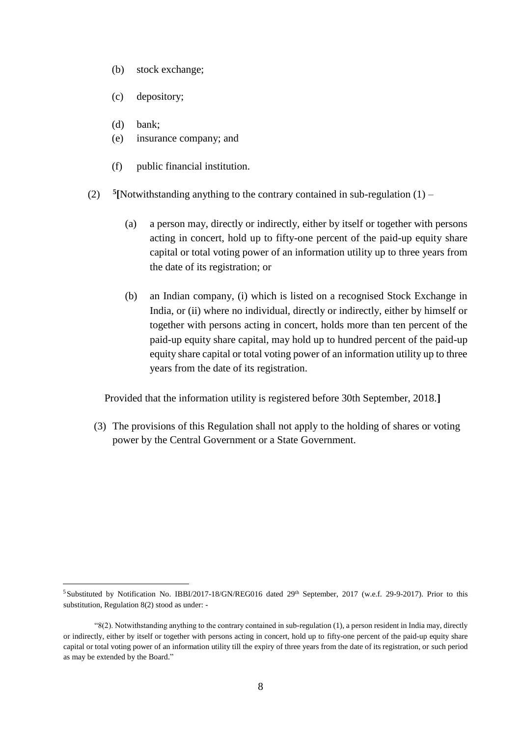- (b) stock exchange;
- (c) depository;
- (d) bank;

<u>.</u>

- (e) insurance company; and
- (f) public financial institution.
- $(2)$ <sup>5</sup>[Notwithstanding anything to the contrary contained in sub-regulation  $(1)$  –
	- (a) a person may, directly or indirectly, either by itself or together with persons acting in concert, hold up to fifty-one percent of the paid-up equity share capital or total voting power of an information utility up to three years from the date of its registration; or
	- (b) an Indian company, (i) which is listed on a recognised Stock Exchange in India, or (ii) where no individual, directly or indirectly, either by himself or together with persons acting in concert, holds more than ten percent of the paid-up equity share capital, may hold up to hundred percent of the paid-up equity share capital or total voting power of an information utility up to three years from the date of its registration.

Provided that the information utility is registered before 30th September, 2018.**]**

(3) The provisions of this Regulation shall not apply to the holding of shares or voting power by the Central Government or a State Government.

<sup>&</sup>lt;sup>5</sup>Substituted by Notification No. IBBI/2017-18/GN/REG016 dated 29<sup>th</sup> September, 2017 (w.e.f. 29-9-2017). Prior to this substitution, Regulation 8(2) stood as under: -

<sup>&</sup>quot;8(2). Notwithstanding anything to the contrary contained in sub-regulation (1), a person resident in India may, directly or indirectly, either by itself or together with persons acting in concert, hold up to fifty-one percent of the paid-up equity share capital or total voting power of an information utility till the expiry of three years from the date of its registration, or such period as may be extended by the Board."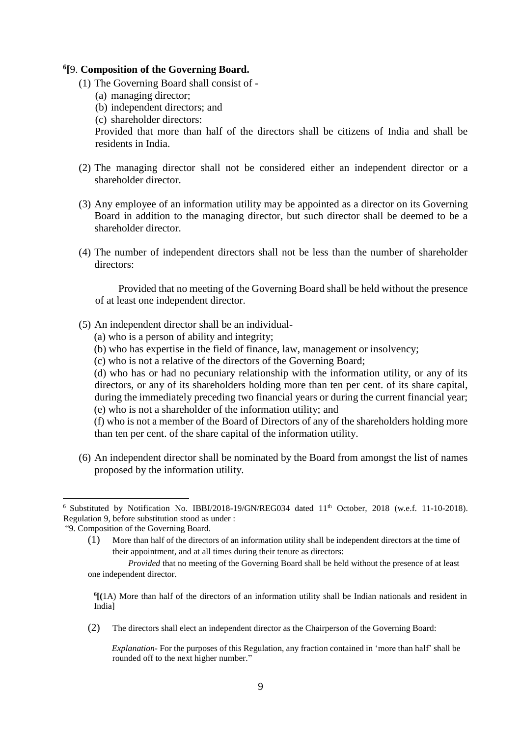#### **6 [**9. **Composition of the Governing Board.**

- (1) The Governing Board shall consist of
	- (a) managing director;
	- (b) independent directors; and
	- (c) shareholder directors:

Provided that more than half of the directors shall be citizens of India and shall be residents in India.

- (2) The managing director shall not be considered either an independent director or a shareholder director.
- (3) Any employee of an information utility may be appointed as a director on its Governing Board in addition to the managing director, but such director shall be deemed to be a shareholder director.
- (4) The number of independent directors shall not be less than the number of shareholder directors:

 Provided that no meeting of the Governing Board shall be held without the presence of at least one independent director.

- (5) An independent director shall be an individual-
	- (a) who is a person of ability and integrity;
	- (b) who has expertise in the field of finance, law, management or insolvency;
	- (c) who is not a relative of the directors of the Governing Board;

(d) who has or had no pecuniary relationship with the information utility, or any of its directors, or any of its shareholders holding more than ten per cent. of its share capital, during the immediately preceding two financial years or during the current financial year; (e) who is not a shareholder of the information utility; and

(f) who is not a member of the Board of Directors of any of the shareholders holding more than ten per cent. of the share capital of the information utility.

(6) An independent director shall be nominated by the Board from amongst the list of names proposed by the information utility.

1

(1) More than half of the directors of an information utility shall be independent directors at the time of their appointment, and at all times during their tenure as directors:

(2) The directors shall elect an independent director as the Chairperson of the Governing Board:

*Explanation-* For the purposes of this Regulation, any fraction contained in 'more than half' shall be rounded off to the next higher number."

<sup>&</sup>lt;sup>6</sup> Substituted by Notification No. IBBI/2018-19/GN/REG034 dated 11<sup>th</sup> October, 2018 (w.e.f. 11-10-2018). Regulation 9, before substitution stood as under :

<sup>&</sup>quot;9. Composition of the Governing Board.

*Provided* that no meeting of the Governing Board shall be held without the presence of at least one independent director.

**<sup>6</sup> [(**1A) More than half of the directors of an information utility shall be Indian nationals and resident in India]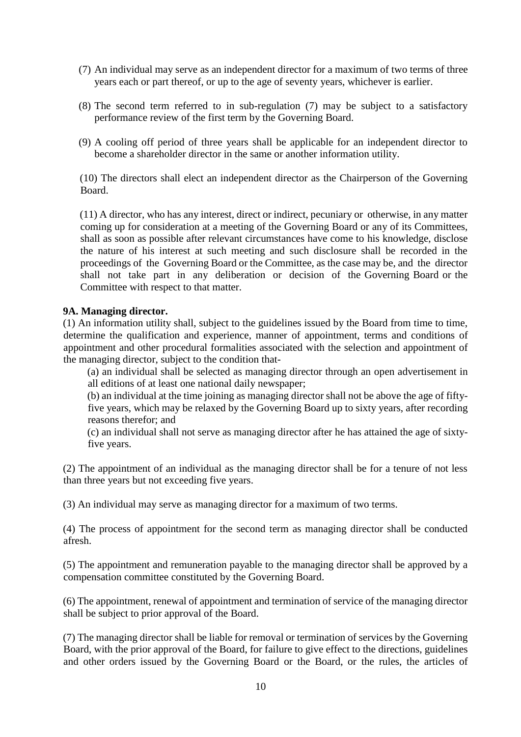- (7) An individual may serve as an independent director for a maximum of two terms of three years each or part thereof, or up to the age of seventy years, whichever is earlier.
- (8) The second term referred to in sub-regulation (7) may be subject to a satisfactory performance review of the first term by the Governing Board.
- (9) A cooling off period of three years shall be applicable for an independent director to become a shareholder director in the same or another information utility.

(10) The directors shall elect an independent director as the Chairperson of the Governing Board.

(11) A director, who has any interest, direct or indirect, pecuniary or otherwise, in any matter coming up for consideration at a meeting of the Governing Board or any of its Committees, shall as soon as possible after relevant circumstances have come to his knowledge, disclose the nature of his interest at such meeting and such disclosure shall be recorded in the proceedings of the Governing Board or the Committee, as the case may be, and the director shall not take part in any deliberation or decision of the Governing Board or the Committee with respect to that matter.

### **9A. Managing director.**

(1) An information utility shall, subject to the guidelines issued by the Board from time to time, determine the qualification and experience, manner of appointment, terms and conditions of appointment and other procedural formalities associated with the selection and appointment of the managing director, subject to the condition that-

(a) an individual shall be selected as managing director through an open advertisement in all editions of at least one national daily newspaper;

(b) an individual at the time joining as managing director shall not be above the age of fiftyfive years, which may be relaxed by the Governing Board up to sixty years, after recording reasons therefor; and

(c) an individual shall not serve as managing director after he has attained the age of sixtyfive years.

(2) The appointment of an individual as the managing director shall be for a tenure of not less than three years but not exceeding five years.

(3) An individual may serve as managing director for a maximum of two terms.

(4) The process of appointment for the second term as managing director shall be conducted afresh.

(5) The appointment and remuneration payable to the managing director shall be approved by a compensation committee constituted by the Governing Board.

(6) The appointment, renewal of appointment and termination of service of the managing director shall be subject to prior approval of the Board.

(7) The managing director shall be liable for removal or termination of services by the Governing Board, with the prior approval of the Board, for failure to give effect to the directions, guidelines and other orders issued by the Governing Board or the Board, or the rules, the articles of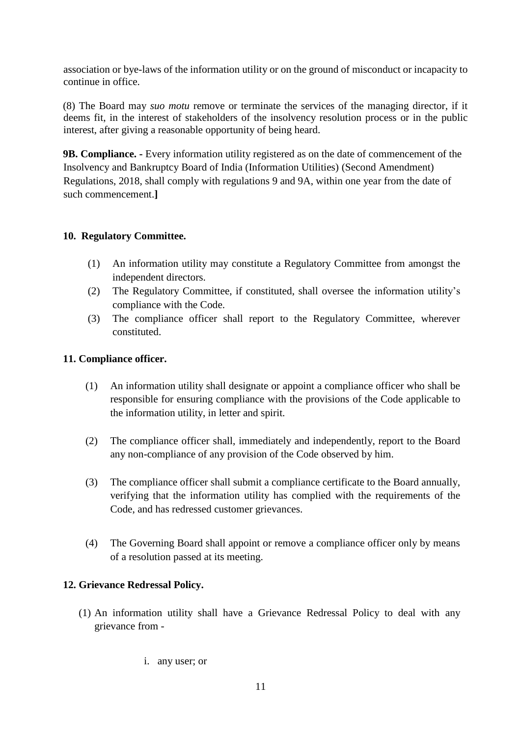association or bye-laws of the information utility or on the ground of misconduct or incapacity to continue in office.

(8) The Board may *suo motu* remove or terminate the services of the managing director, if it deems fit, in the interest of stakeholders of the insolvency resolution process or in the public interest, after giving a reasonable opportunity of being heard.

**9B. Compliance. -** Every information utility registered as on the date of commencement of the Insolvency and Bankruptcy Board of India (Information Utilities) (Second Amendment) Regulations, 2018, shall comply with regulations 9 and 9A, within one year from the date of such commencement.**]**

## **10. Regulatory Committee.**

- (1) An information utility may constitute a Regulatory Committee from amongst the independent directors.
- (2) The Regulatory Committee, if constituted, shall oversee the information utility's compliance with the Code.
- (3) The compliance officer shall report to the Regulatory Committee, wherever constituted.

## **11. Compliance officer.**

- (1) An information utility shall designate or appoint a compliance officer who shall be responsible for ensuring compliance with the provisions of the Code applicable to the information utility, in letter and spirit.
- (2) The compliance officer shall, immediately and independently, report to the Board any non-compliance of any provision of the Code observed by him.
- (3) The compliance officer shall submit a compliance certificate to the Board annually, verifying that the information utility has complied with the requirements of the Code, and has redressed customer grievances.
- (4) The Governing Board shall appoint or remove a compliance officer only by means of a resolution passed at its meeting.

## **12. Grievance Redressal Policy.**

- (1) An information utility shall have a Grievance Redressal Policy to deal with any grievance from
	- i. any user; or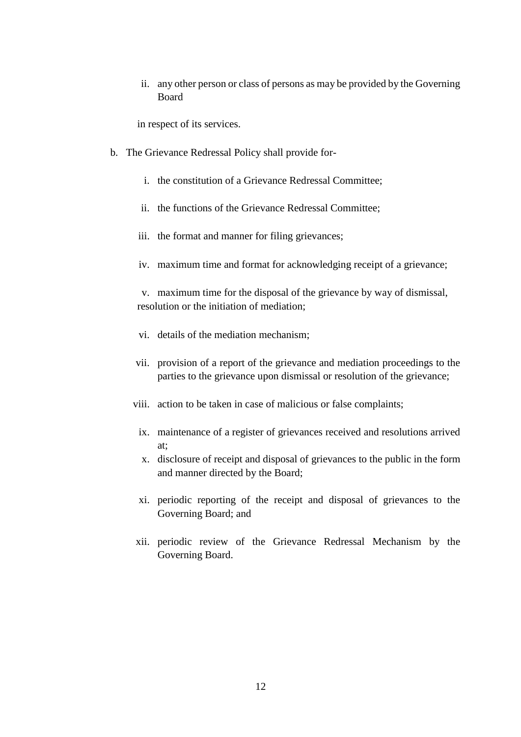ii. any other person or class of persons as may be provided by the Governing Board

in respect of its services.

- b. The Grievance Redressal Policy shall provide for
	- i. the constitution of a Grievance Redressal Committee;
	- ii. the functions of the Grievance Redressal Committee;
	- iii. the format and manner for filing grievances;
	- iv. maximum time and format for acknowledging receipt of a grievance;

v. maximum time for the disposal of the grievance by way of dismissal, resolution or the initiation of mediation;

- vi. details of the mediation mechanism;
- vii. provision of a report of the grievance and mediation proceedings to the parties to the grievance upon dismissal or resolution of the grievance;
- viii. action to be taken in case of malicious or false complaints;
	- ix. maintenance of a register of grievances received and resolutions arrived at;
	- x. disclosure of receipt and disposal of grievances to the public in the form and manner directed by the Board;
	- xi. periodic reporting of the receipt and disposal of grievances to the Governing Board; and
- xii. periodic review of the Grievance Redressal Mechanism by the Governing Board.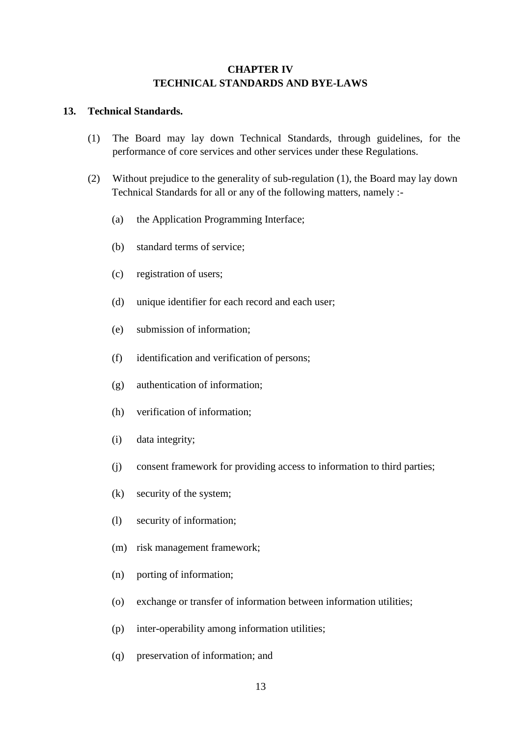## **CHAPTER IV TECHNICAL STANDARDS AND BYE-LAWS**

#### **13. Technical Standards.**

- (1) The Board may lay down Technical Standards, through guidelines, for the performance of core services and other services under these Regulations.
- (2) Without prejudice to the generality of sub-regulation (1), the Board may lay down Technical Standards for all or any of the following matters, namely :-
	- (a) the Application Programming Interface;
	- (b) standard terms of service;
	- (c) registration of users;
	- (d) unique identifier for each record and each user;
	- (e) submission of information;
	- (f) identification and verification of persons;
	- (g) authentication of information;
	- (h) verification of information;
	- (i) data integrity;
	- (j) consent framework for providing access to information to third parties;
	- (k) security of the system;
	- (l) security of information;
	- (m) risk management framework;
	- (n) porting of information;
	- (o) exchange or transfer of information between information utilities;
	- (p) inter-operability among information utilities;
	- (q) preservation of information; and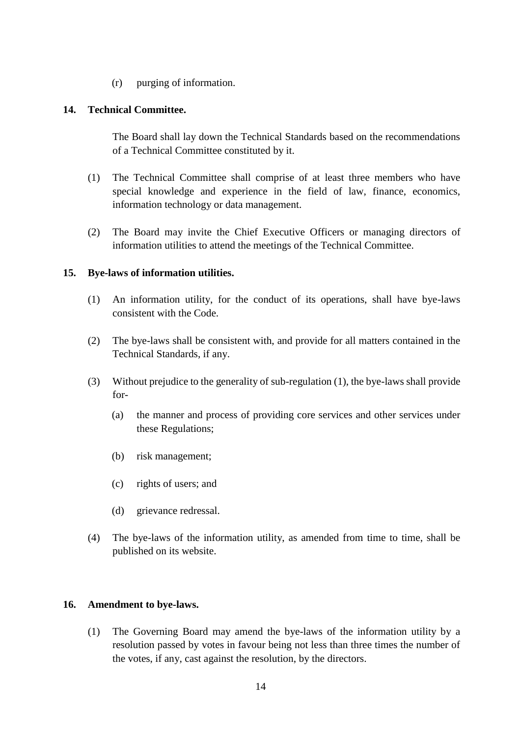(r) purging of information.

#### **14. Technical Committee.**

The Board shall lay down the Technical Standards based on the recommendations of a Technical Committee constituted by it.

- (1) The Technical Committee shall comprise of at least three members who have special knowledge and experience in the field of law, finance, economics, information technology or data management.
- (2) The Board may invite the Chief Executive Officers or managing directors of information utilities to attend the meetings of the Technical Committee.

## **15. Bye-laws of information utilities.**

- (1) An information utility, for the conduct of its operations, shall have bye-laws consistent with the Code.
- (2) The bye-laws shall be consistent with, and provide for all matters contained in the Technical Standards, if any.
- (3) Without prejudice to the generality of sub-regulation (1), the bye-laws shall provide for-
	- (a) the manner and process of providing core services and other services under these Regulations;
	- (b) risk management;
	- (c) rights of users; and
	- (d) grievance redressal.
- (4) The bye-laws of the information utility, as amended from time to time, shall be published on its website.

#### **16. Amendment to bye-laws.**

(1) The Governing Board may amend the bye-laws of the information utility by a resolution passed by votes in favour being not less than three times the number of the votes, if any, cast against the resolution, by the directors.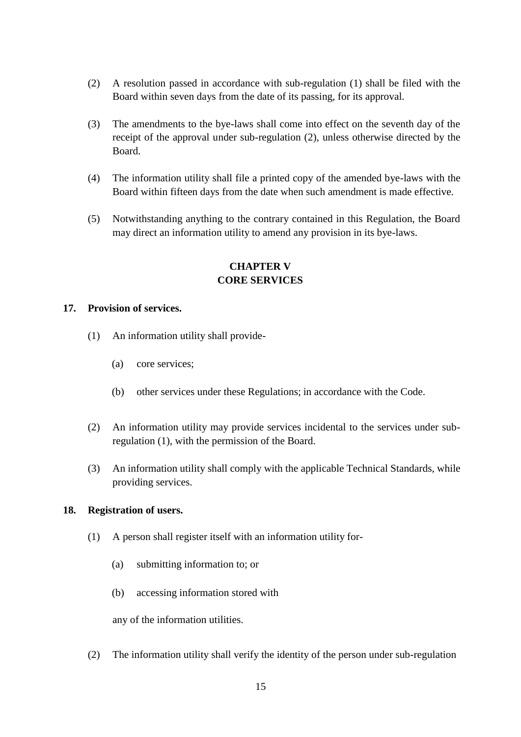- (2) A resolution passed in accordance with sub-regulation (1) shall be filed with the Board within seven days from the date of its passing, for its approval.
- (3) The amendments to the bye-laws shall come into effect on the seventh day of the receipt of the approval under sub-regulation (2), unless otherwise directed by the Board.
- (4) The information utility shall file a printed copy of the amended bye-laws with the Board within fifteen days from the date when such amendment is made effective.
- (5) Notwithstanding anything to the contrary contained in this Regulation, the Board may direct an information utility to amend any provision in its bye-laws.

## **CHAPTER V CORE SERVICES**

### **17. Provision of services.**

- (1) An information utility shall provide-
	- (a) core services;
	- (b) other services under these Regulations; in accordance with the Code.
- (2) An information utility may provide services incidental to the services under subregulation (1), with the permission of the Board.
- (3) An information utility shall comply with the applicable Technical Standards, while providing services.

## **18. Registration of users.**

- (1) A person shall register itself with an information utility for-
	- (a) submitting information to; or
	- (b) accessing information stored with

any of the information utilities.

(2) The information utility shall verify the identity of the person under sub-regulation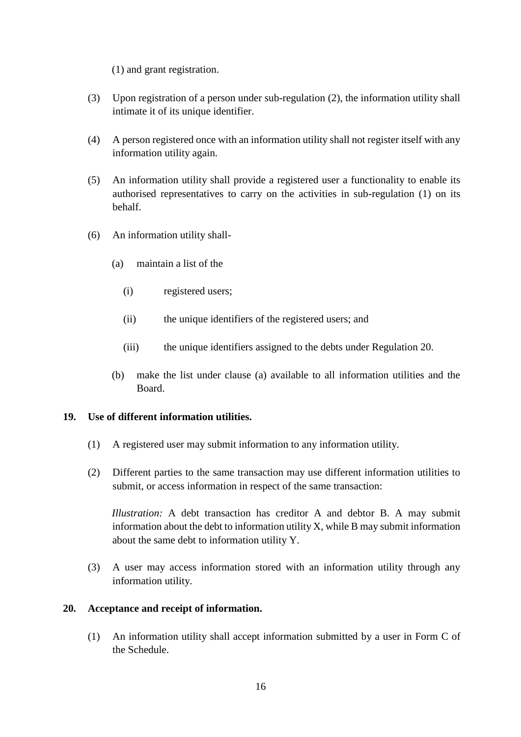(1) and grant registration.

- (3) Upon registration of a person under sub-regulation (2), the information utility shall intimate it of its unique identifier.
- (4) A person registered once with an information utility shall not register itself with any information utility again.
- (5) An information utility shall provide a registered user a functionality to enable its authorised representatives to carry on the activities in sub-regulation (1) on its behalf.
- (6) An information utility shall-
	- (a) maintain a list of the
		- (i) registered users;
		- (ii) the unique identifiers of the registered users; and
		- (iii) the unique identifiers assigned to the debts under Regulation 20.
	- (b) make the list under clause (a) available to all information utilities and the Board.

#### **19. Use of different information utilities.**

- (1) A registered user may submit information to any information utility.
- (2) Different parties to the same transaction may use different information utilities to submit, or access information in respect of the same transaction:

*Illustration:* A debt transaction has creditor A and debtor B. A may submit information about the debt to information utility X, while B may submit information about the same debt to information utility Y.

(3) A user may access information stored with an information utility through any information utility.

#### **20. Acceptance and receipt of information.**

(1) An information utility shall accept information submitted by a user in Form C of the Schedule.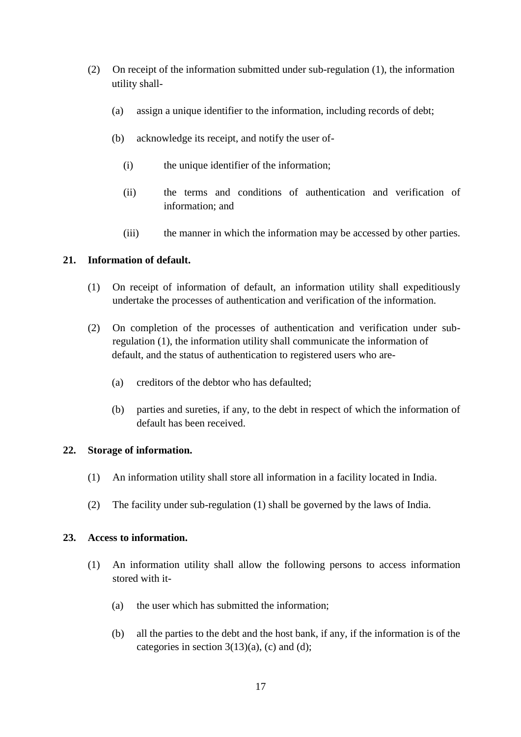- (2) On receipt of the information submitted under sub-regulation (1), the information utility shall-
	- (a) assign a unique identifier to the information, including records of debt;
	- (b) acknowledge its receipt, and notify the user of-
		- (i) the unique identifier of the information;
		- (ii) the terms and conditions of authentication and verification of information; and
		- (iii) the manner in which the information may be accessed by other parties.

## **21. Information of default.**

- (1) On receipt of information of default, an information utility shall expeditiously undertake the processes of authentication and verification of the information.
- (2) On completion of the processes of authentication and verification under subregulation (1), the information utility shall communicate the information of default, and the status of authentication to registered users who are-
	- (a) creditors of the debtor who has defaulted;
	- (b) parties and sureties, if any, to the debt in respect of which the information of default has been received.

#### **22. Storage of information.**

- (1) An information utility shall store all information in a facility located in India.
- (2) The facility under sub-regulation (1) shall be governed by the laws of India.

#### **23. Access to information.**

- (1) An information utility shall allow the following persons to access information stored with it-
	- (a) the user which has submitted the information;
	- (b) all the parties to the debt and the host bank, if any, if the information is of the categories in section  $3(13)(a)$ , (c) and (d);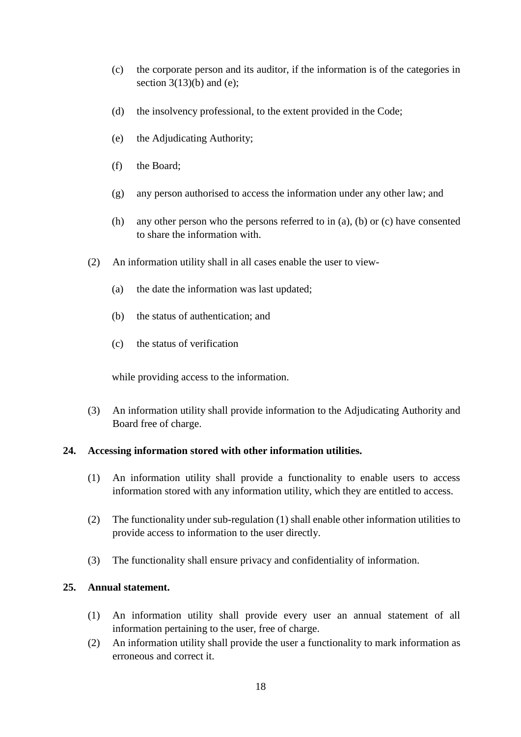- (c) the corporate person and its auditor, if the information is of the categories in section  $3(13)(b)$  and (e);
- (d) the insolvency professional, to the extent provided in the Code;
- (e) the Adjudicating Authority;
- (f) the Board;
- (g) any person authorised to access the information under any other law; and
- (h) any other person who the persons referred to in (a), (b) or (c) have consented to share the information with.
- (2) An information utility shall in all cases enable the user to view-
	- (a) the date the information was last updated;
	- (b) the status of authentication; and
	- (c) the status of verification

while providing access to the information.

(3) An information utility shall provide information to the Adjudicating Authority and Board free of charge.

#### **24. Accessing information stored with other information utilities.**

- (1) An information utility shall provide a functionality to enable users to access information stored with any information utility, which they are entitled to access.
- (2) The functionality under sub-regulation (1) shall enable other information utilities to provide access to information to the user directly.
- (3) The functionality shall ensure privacy and confidentiality of information.

#### **25. Annual statement.**

- (1) An information utility shall provide every user an annual statement of all information pertaining to the user, free of charge.
- (2) An information utility shall provide the user a functionality to mark information as erroneous and correct it.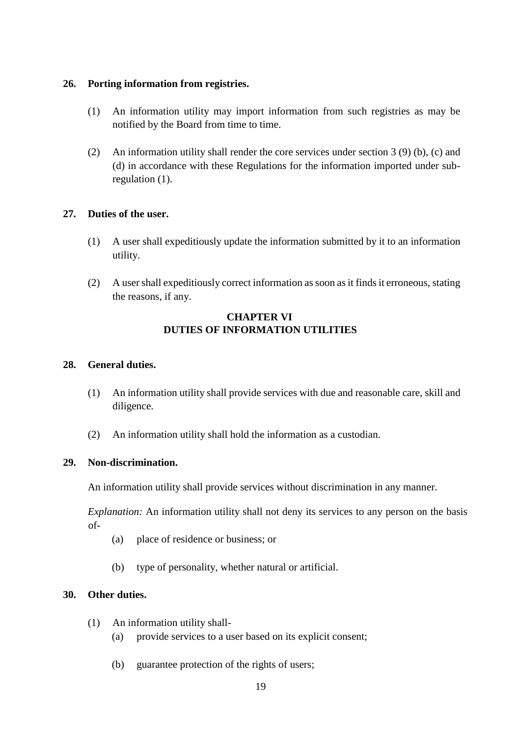### **26. Porting information from registries.**

- (1) An information utility may import information from such registries as may be notified by the Board from time to time.
- (2) An information utility shall render the core services under section 3 (9) (b), (c) and (d) in accordance with these Regulations for the information imported under subregulation (1).

## **27. Duties of the user.**

- (1) A user shall expeditiously update the information submitted by it to an information utility.
- (2) A user shall expeditiously correct information as soon as it finds it erroneous, stating the reasons, if any.

## **CHAPTER VI DUTIES OF INFORMATION UTILITIES**

### **28. General duties.**

- (1) An information utility shall provide services with due and reasonable care, skill and diligence.
- (2) An information utility shall hold the information as a custodian.

## **29. Non-discrimination.**

An information utility shall provide services without discrimination in any manner.

*Explanation:* An information utility shall not deny its services to any person on the basis of-

- (a) place of residence or business; or
- (b) type of personality, whether natural or artificial.

## **30. Other duties.**

- (1) An information utility shall-
	- (a) provide services to a user based on its explicit consent;
	- (b) guarantee protection of the rights of users;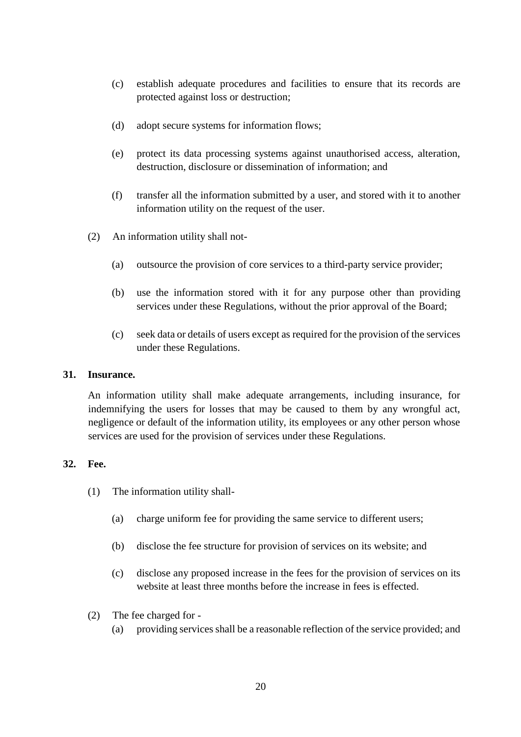- (c) establish adequate procedures and facilities to ensure that its records are protected against loss or destruction;
- (d) adopt secure systems for information flows;
- (e) protect its data processing systems against unauthorised access, alteration, destruction, disclosure or dissemination of information; and
- (f) transfer all the information submitted by a user, and stored with it to another information utility on the request of the user.
- (2) An information utility shall not-
	- (a) outsource the provision of core services to a third-party service provider;
	- (b) use the information stored with it for any purpose other than providing services under these Regulations, without the prior approval of the Board;
	- (c) seek data or details of users except as required for the provision of the services under these Regulations.

#### **31. Insurance.**

An information utility shall make adequate arrangements, including insurance, for indemnifying the users for losses that may be caused to them by any wrongful act, negligence or default of the information utility, its employees or any other person whose services are used for the provision of services under these Regulations.

#### **32. Fee.**

- (1) The information utility shall-
	- (a) charge uniform fee for providing the same service to different users;
	- (b) disclose the fee structure for provision of services on its website; and
	- (c) disclose any proposed increase in the fees for the provision of services on its website at least three months before the increase in fees is effected.
- (2) The fee charged for
	- (a) providing services shall be a reasonable reflection of the service provided; and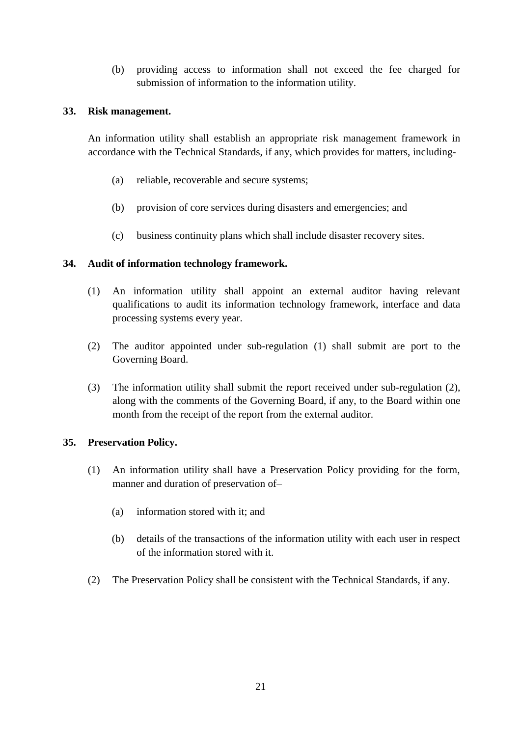(b) providing access to information shall not exceed the fee charged for submission of information to the information utility.

### **33. Risk management.**

An information utility shall establish an appropriate risk management framework in accordance with the Technical Standards, if any, which provides for matters, including-

- (a) reliable, recoverable and secure systems;
- (b) provision of core services during disasters and emergencies; and
- (c) business continuity plans which shall include disaster recovery sites.

### **34. Audit of information technology framework.**

- (1) An information utility shall appoint an external auditor having relevant qualifications to audit its information technology framework, interface and data processing systems every year.
- (2) The auditor appointed under sub-regulation (1) shall submit are port to the Governing Board.
- (3) The information utility shall submit the report received under sub-regulation (2), along with the comments of the Governing Board, if any, to the Board within one month from the receipt of the report from the external auditor.

#### **35. Preservation Policy.**

- (1) An information utility shall have a Preservation Policy providing for the form, manner and duration of preservation of-
	- (a) information stored with it; and
	- (b) details of the transactions of the information utility with each user in respect of the information stored with it.
- (2) The Preservation Policy shall be consistent with the Technical Standards, if any.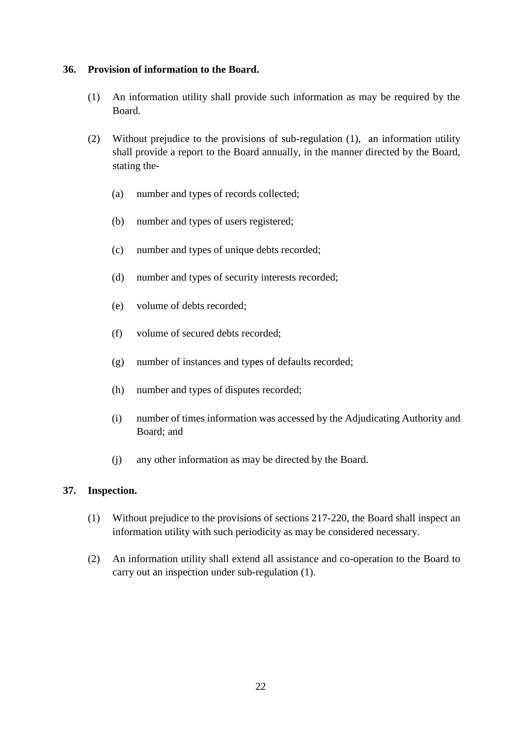### **36. Provision of information to the Board.**

- (1) An information utility shall provide such information as may be required by the Board.
- (2) Without prejudice to the provisions of sub-regulation (1), an information utility shall provide a report to the Board annually, in the manner directed by the Board, stating the-
	- (a) number and types of records collected;
	- (b) number and types of users registered;
	- (c) number and types of unique debts recorded;
	- (d) number and types of security interests recorded;
	- (e) volume of debts recorded;
	- (f) volume of secured debts recorded;
	- (g) number of instances and types of defaults recorded;
	- (h) number and types of disputes recorded;
	- (i) number of times information was accessed by the Adjudicating Authority and Board; and
	- (j) any other information as may be directed by the Board.

## **37. Inspection.**

- (1) Without prejudice to the provisions of sections 217-220, the Board shall inspect an information utility with such periodicity as may be considered necessary.
- (2) An information utility shall extend all assistance and co-operation to the Board to carry out an inspection under sub-regulation (1).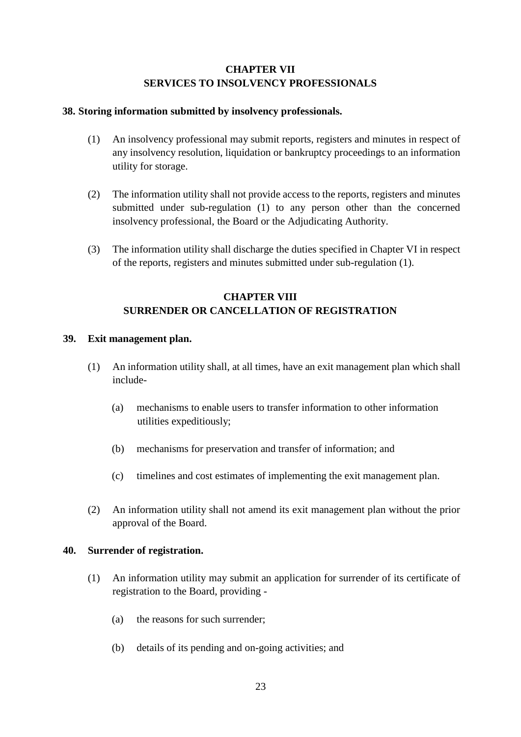## **CHAPTER VII SERVICES TO INSOLVENCY PROFESSIONALS**

### **38. Storing information submitted by insolvency professionals.**

- (1) An insolvency professional may submit reports, registers and minutes in respect of any insolvency resolution, liquidation or bankruptcy proceedings to an information utility for storage.
- (2) The information utility shall not provide access to the reports, registers and minutes submitted under sub-regulation (1) to any person other than the concerned insolvency professional, the Board or the Adjudicating Authority.
- (3) The information utility shall discharge the duties specified in Chapter VI in respect of the reports, registers and minutes submitted under sub-regulation (1).

## **CHAPTER VIII SURRENDER OR CANCELLATION OF REGISTRATION**

### **39. Exit management plan.**

- (1) An information utility shall, at all times, have an exit management plan which shall include-
	- (a) mechanisms to enable users to transfer information to other information utilities expeditiously;
	- (b) mechanisms for preservation and transfer of information; and
	- (c) timelines and cost estimates of implementing the exit management plan.
- (2) An information utility shall not amend its exit management plan without the prior approval of the Board.

#### **40. Surrender of registration.**

- (1) An information utility may submit an application for surrender of its certificate of registration to the Board, providing -
	- (a) the reasons for such surrender;
	- (b) details of its pending and on-going activities; and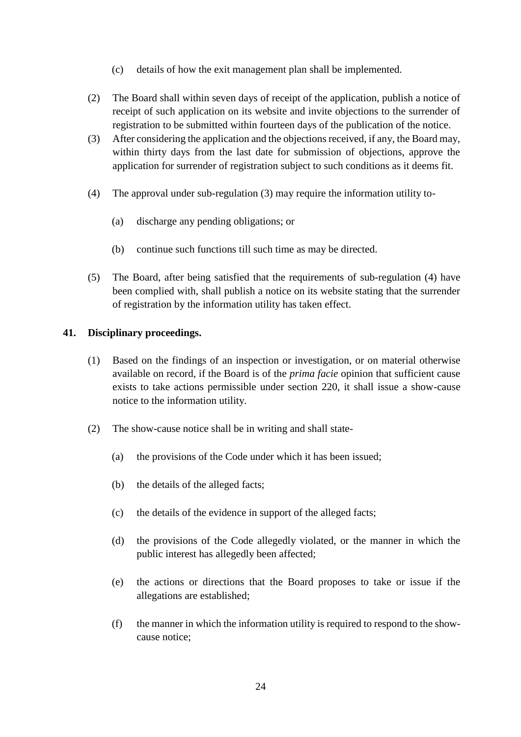- (c) details of how the exit management plan shall be implemented.
- (2) The Board shall within seven days of receipt of the application, publish a notice of receipt of such application on its website and invite objections to the surrender of registration to be submitted within fourteen days of the publication of the notice.
- (3) After considering the application and the objections received, if any, the Board may, within thirty days from the last date for submission of objections, approve the application for surrender of registration subject to such conditions as it deems fit.
- (4) The approval under sub-regulation (3) may require the information utility to-
	- (a) discharge any pending obligations; or
	- (b) continue such functions till such time as may be directed.
- (5) The Board, after being satisfied that the requirements of sub-regulation (4) have been complied with, shall publish a notice on its website stating that the surrender of registration by the information utility has taken effect.

#### **41. Disciplinary proceedings.**

- (1) Based on the findings of an inspection or investigation, or on material otherwise available on record, if the Board is of the *prima facie* opinion that sufficient cause exists to take actions permissible under section 220, it shall issue a show-cause notice to the information utility.
- (2) The show-cause notice shall be in writing and shall state-
	- (a) the provisions of the Code under which it has been issued;
	- (b) the details of the alleged facts;
	- (c) the details of the evidence in support of the alleged facts;
	- (d) the provisions of the Code allegedly violated, or the manner in which the public interest has allegedly been affected;
	- (e) the actions or directions that the Board proposes to take or issue if the allegations are established;
	- (f) the manner in which the information utility is required to respond to the showcause notice;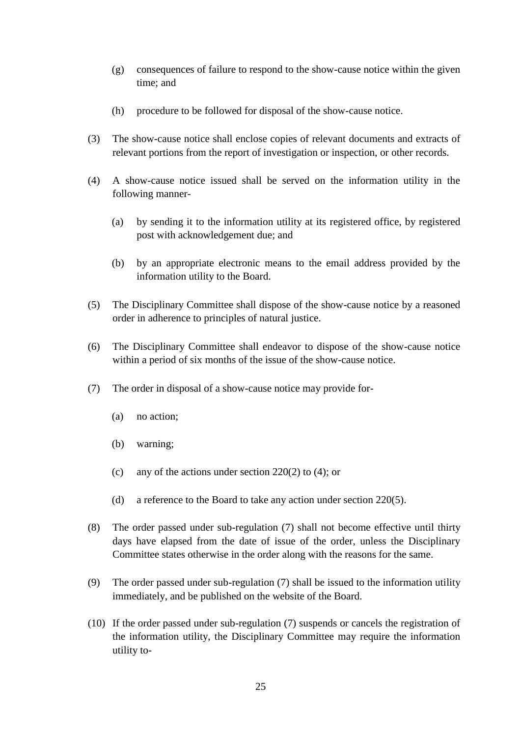- (g) consequences of failure to respond to the show-cause notice within the given time; and
- (h) procedure to be followed for disposal of the show-cause notice.
- (3) The show-cause notice shall enclose copies of relevant documents and extracts of relevant portions from the report of investigation or inspection, or other records.
- (4) A show-cause notice issued shall be served on the information utility in the following manner-
	- (a) by sending it to the information utility at its registered office, by registered post with acknowledgement due; and
	- (b) by an appropriate electronic means to the email address provided by the information utility to the Board.
- (5) The Disciplinary Committee shall dispose of the show-cause notice by a reasoned order in adherence to principles of natural justice.
- (6) The Disciplinary Committee shall endeavor to dispose of the show-cause notice within a period of six months of the issue of the show-cause notice.
- (7) The order in disposal of a show-cause notice may provide for-
	- (a) no action;
	- (b) warning;
	- (c) any of the actions under section  $220(2)$  to (4); or
	- (d) a reference to the Board to take any action under section 220(5).
- (8) The order passed under sub-regulation (7) shall not become effective until thirty days have elapsed from the date of issue of the order, unless the Disciplinary Committee states otherwise in the order along with the reasons for the same.
- (9) The order passed under sub-regulation (7) shall be issued to the information utility immediately, and be published on the website of the Board.
- (10) If the order passed under sub-regulation (7) suspends or cancels the registration of the information utility, the Disciplinary Committee may require the information utility to-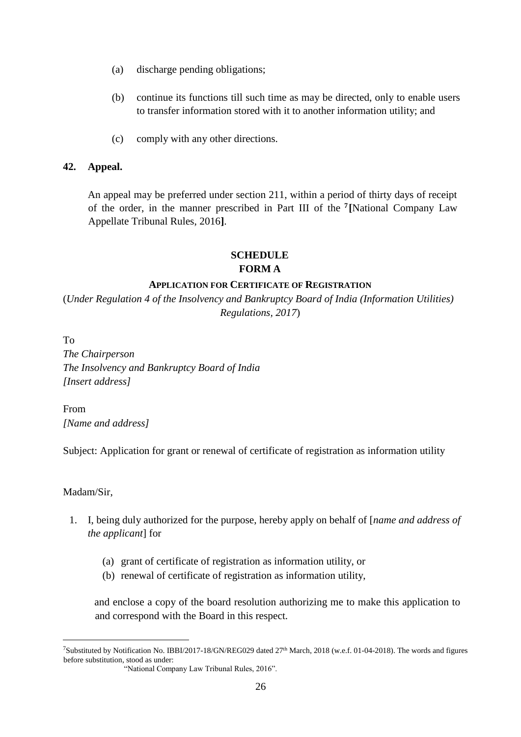- (a) discharge pending obligations;
- (b) continue its functions till such time as may be directed, only to enable users to transfer information stored with it to another information utility; and
- (c) comply with any other directions.

#### **42. Appeal.**

An appeal may be preferred under section 211, within a period of thirty days of receipt of the order, in the manner prescribed in Part III of the **<sup>7</sup> [**National Company Law Appellate Tribunal Rules, 2016**]**.

## **SCHEDULE FORM A**

#### **APPLICATION FOR CERTIFICATE OF REGISTRATION**

(*Under Regulation 4 of the Insolvency and Bankruptcy Board of India (Information Utilities) Regulations, 2017*)

To *The Chairperson The Insolvency and Bankruptcy Board of India [Insert address]* 

From *[Name and address]* 

Subject: Application for grant or renewal of certificate of registration as information utility

#### Madam/Sir,

1

- 1. I, being duly authorized for the purpose, hereby apply on behalf of [*name and address of the applicant*] for
	- (a) grant of certificate of registration as information utility, or
	- (b) renewal of certificate of registration as information utility,

and enclose a copy of the board resolution authorizing me to make this application to and correspond with the Board in this respect.

<sup>7</sup>Substituted by Notification No. IBBI/2017-18/GN/REG029 dated 27th March, 2018 (w.e.f. 01-04-2018). The words and figures before substitution, stood as under:

 <sup>&</sup>quot;National Company Law Tribunal Rules, 2016".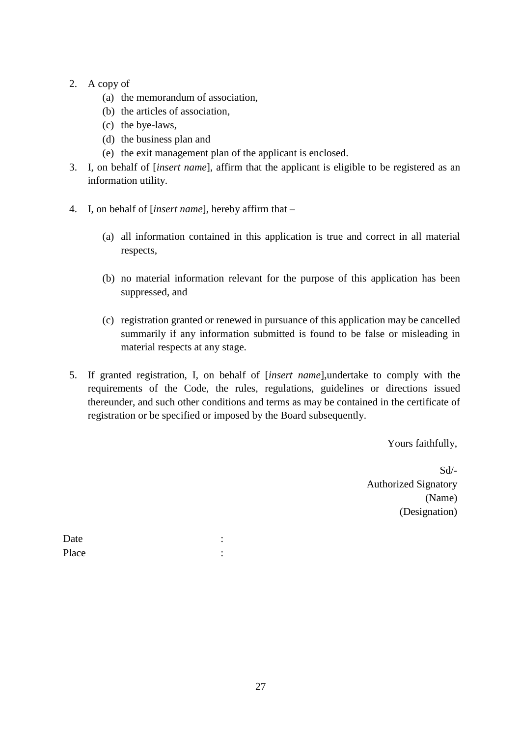- 2. A copy of
	- (a) the memorandum of association,
	- (b) the articles of association,
	- (c) the bye-laws,
	- (d) the business plan and
	- (e) the exit management plan of the applicant is enclosed.
- 3. I, on behalf of [*insert name*], affirm that the applicant is eligible to be registered as an information utility.
- 4. I, on behalf of [*insert name*], hereby affirm that
	- (a) all information contained in this application is true and correct in all material respects,
	- (b) no material information relevant for the purpose of this application has been suppressed, and
	- (c) registration granted or renewed in pursuance of this application may be cancelled summarily if any information submitted is found to be false or misleading in material respects at any stage.
- 5. If granted registration, I, on behalf of [*insert name*],undertake to comply with the requirements of the Code, the rules, regulations, guidelines or directions issued thereunder, and such other conditions and terms as may be contained in the certificate of registration or be specified or imposed by the Board subsequently.

Yours faithfully,

Sd/- Authorized Signatory (Name) (Designation)

Date : the state of the state of the state of the state of the state of the state of the state of the state of the state of the state of the state of the state of the state of the state of the state of the state of the sta Place : :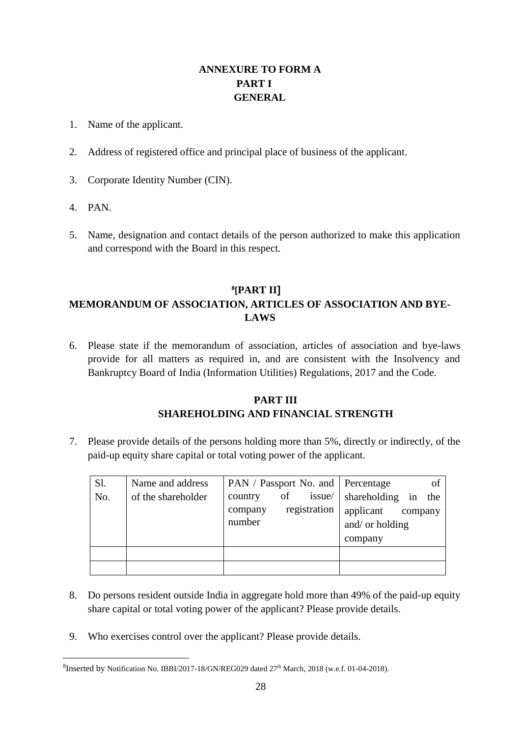## **ANNEXURE TO FORM A PART I GENERAL**

- 1. Name of the applicant.
- 2. Address of registered office and principal place of business of the applicant.
- 3. Corporate Identity Number (CIN).
- 4. PAN.

1

5. Name, designation and contact details of the person authorized to make this application and correspond with the Board in this respect.

## **8 [PART II] MEMORANDUM OF ASSOCIATION, ARTICLES OF ASSOCIATION AND BYE-LAWS**

6. Please state if the memorandum of association, articles of association and bye-laws provide for all matters as required in, and are consistent with the Insolvency and Bankruptcy Board of India (Information Utilities) Regulations, 2017 and the Code.

## **PART III SHAREHOLDING AND FINANCIAL STRENGTH**

7. Please provide details of the persons holding more than 5%, directly or indirectly, of the paid-up equity share capital or total voting power of the applicant.

| Sl. | Name and address   | PAN / Passport No. and   Percentage | of                     |
|-----|--------------------|-------------------------------------|------------------------|
| No. | of the shareholder | of<br>issue/<br>country             | shareholding in<br>the |
|     |                    | registration<br>company             | applicant<br>company   |
|     |                    | number                              | and/ or holding        |
|     |                    |                                     | company                |
|     |                    |                                     |                        |
|     |                    |                                     |                        |

- 8. Do persons resident outside India in aggregate hold more than 49% of the paid-up equity share capital or total voting power of the applicant? Please provide details.
- 9. Who exercises control over the applicant? Please provide details.

<sup>&</sup>lt;sup>8</sup>Inserted by Notification No. IBBI/2017-18/GN/REG029 dated 27<sup>th</sup> March, 2018 (w.e.f. 01-04-2018).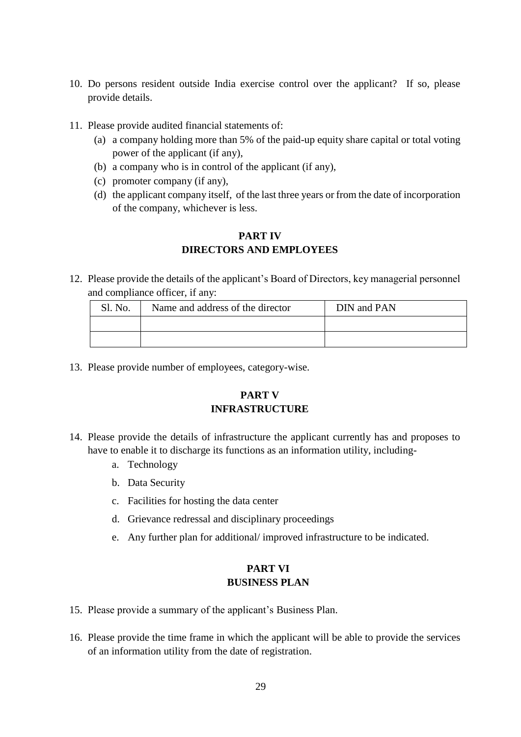- 10. Do persons resident outside India exercise control over the applicant? If so, please provide details.
- 11. Please provide audited financial statements of:
	- (a) a company holding more than 5% of the paid-up equity share capital or total voting power of the applicant (if any),
	- (b) a company who is in control of the applicant (if any),
	- (c) promoter company (if any),
	- (d) the applicant company itself, of the last three years or from the date of incorporation of the company, whichever is less.

## **PART IV DIRECTORS AND EMPLOYEES**

12. Please provide the details of the applicant's Board of Directors, key managerial personnel and compliance officer, if any:

| Sl. No. | Name and address of the director | DIN and PAN |
|---------|----------------------------------|-------------|
|         |                                  |             |
|         |                                  |             |

13. Please provide number of employees, category-wise.

## **PART V INFRASTRUCTURE**

- 14. Please provide the details of infrastructure the applicant currently has and proposes to have to enable it to discharge its functions as an information utility, including
	- a. Technology
	- b. Data Security
	- c. Facilities for hosting the data center
	- d. Grievance redressal and disciplinary proceedings
	- e. Any further plan for additional/ improved infrastructure to be indicated.

## **PART VI BUSINESS PLAN**

- 15. Please provide a summary of the applicant's Business Plan.
- 16. Please provide the time frame in which the applicant will be able to provide the services of an information utility from the date of registration.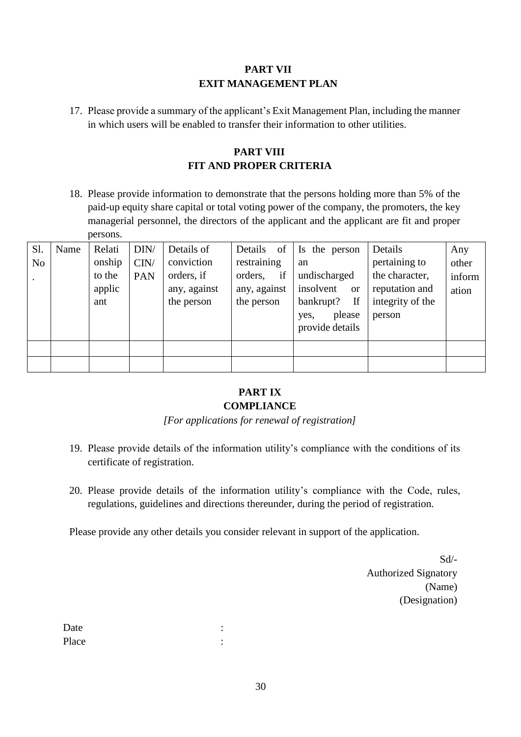## **PART VII EXIT MANAGEMENT PLAN**

17. Please provide a summary of the applicant's Exit Management Plan, including the manner in which users will be enabled to transfer their information to other utilities.

## **PART VIII FIT AND PROPER CRITERIA**

18. Please provide information to demonstrate that the persons holding more than 5% of the paid-up equity share capital or total voting power of the company, the promoters, the key managerial personnel, the directors of the applicant and the applicant are fit and proper persons.

| Sl. | Name | Relati | DIN/ | Details of   | Details of    | Is the person              | Details          | Any    |
|-----|------|--------|------|--------------|---------------|----------------------------|------------------|--------|
| No  |      | onship | CIN/ | conviction   | restraining   | an                         | pertaining to    | other  |
|     |      | to the | PAN  | orders, if   | if<br>orders, | undischarged               | the character,   | inform |
|     |      | applic |      | any, against | any, against  | insolvent<br><sub>or</sub> | reputation and   | ation  |
|     |      | ant    |      | the person   | the person    | If<br>bankrupt?            | integrity of the |        |
|     |      |        |      |              |               | please<br>yes,             | person           |        |
|     |      |        |      |              |               | provide details            |                  |        |
|     |      |        |      |              |               |                            |                  |        |
|     |      |        |      |              |               |                            |                  |        |
|     |      |        |      |              |               |                            |                  |        |

## **PART IX COMPLIANCE**

*[For applications for renewal of registration]* 

- 19. Please provide details of the information utility's compliance with the conditions of its certificate of registration.
- 20. Please provide details of the information utility's compliance with the Code, rules, regulations, guidelines and directions thereunder, during the period of registration.

Please provide any other details you consider relevant in support of the application.

Sd/- Authorized Signatory (Name) (Designation)

Date in the set of the set of the set of the set of the set of the set of the set of the set of the set of the set of the set of the set of the set of the set of the set of the set of the set of the set of the set of the s Place : the set of the set of the set of the set of the set of the set of the set of the set of the set of the set of the set of the set of the set of the set of the set of the set of the set of the set of the set of the s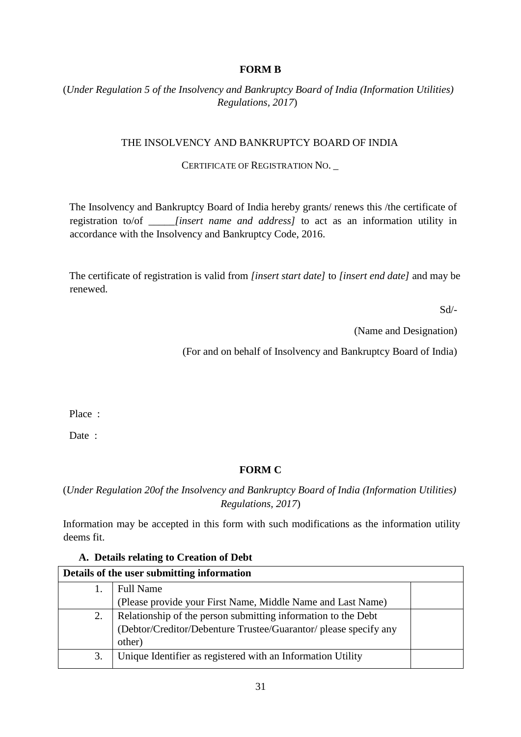## **FORM B**

## (*Under Regulation 5 of the Insolvency and Bankruptcy Board of India (Information Utilities) Regulations, 2017*)

### THE INSOLVENCY AND BANKRUPTCY BOARD OF INDIA

#### CERTIFICATE OF REGISTRATION NO. \_

The Insolvency and Bankruptcy Board of India hereby grants/ renews this /the certificate of registration to/of \_\_\_\_\_*[insert name and address]* to act as an information utility in accordance with the Insolvency and Bankruptcy Code, 2016.

The certificate of registration is valid from *[insert start date]* to *[insert end date]* and may be renewed.

Sd/-

(Name and Designation)

(For and on behalf of Insolvency and Bankruptcy Board of India)

Place :

Date :

## **FORM C**

(*Under Regulation 20of the Insolvency and Bankruptcy Board of India (Information Utilities) Regulations, 2017*)

Information may be accepted in this form with such modifications as the information utility deems fit.

| Details of the user submitting information |                                                                  |  |  |  |
|--------------------------------------------|------------------------------------------------------------------|--|--|--|
|                                            | <b>Full Name</b>                                                 |  |  |  |
|                                            | (Please provide your First Name, Middle Name and Last Name)      |  |  |  |
| 2.                                         | Relationship of the person submitting information to the Debt    |  |  |  |
|                                            | (Debtor/Creditor/Debenture Trustee/Guarantor/ please specify any |  |  |  |
|                                            | other)                                                           |  |  |  |
| 3.                                         | Unique Identifier as registered with an Information Utility      |  |  |  |
|                                            |                                                                  |  |  |  |

### **A. Details relating to Creation of Debt**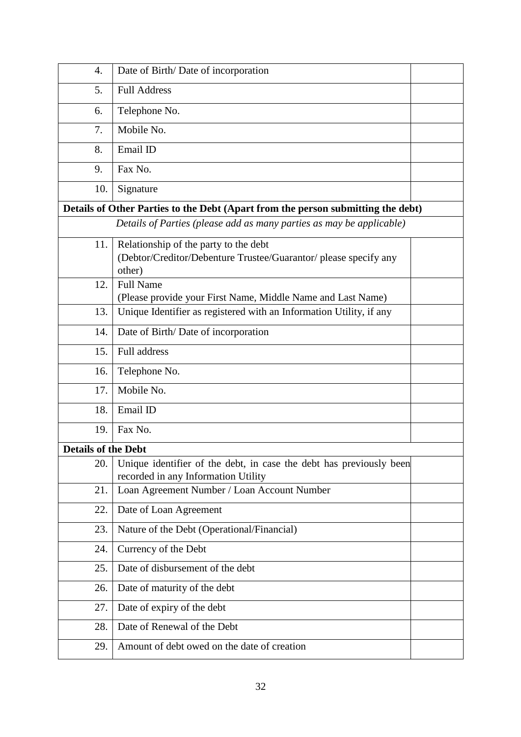| 4.                         | Date of Birth/Date of incorporation                                                                                 |  |
|----------------------------|---------------------------------------------------------------------------------------------------------------------|--|
| 5.                         | <b>Full Address</b>                                                                                                 |  |
| 6.                         | Telephone No.                                                                                                       |  |
| 7.                         | Mobile No.                                                                                                          |  |
| 8.                         | Email ID                                                                                                            |  |
| 9.                         | Fax No.                                                                                                             |  |
| 10.                        | Signature                                                                                                           |  |
|                            | Details of Other Parties to the Debt (Apart from the person submitting the debt)                                    |  |
|                            | Details of Parties (please add as many parties as may be applicable)                                                |  |
| 11.                        | Relationship of the party to the debt<br>(Debtor/Creditor/Debenture Trustee/Guarantor/ please specify any<br>other) |  |
| 12.                        | <b>Full Name</b><br>(Please provide your First Name, Middle Name and Last Name)                                     |  |
| 13.                        | Unique Identifier as registered with an Information Utility, if any                                                 |  |
| 14.                        | Date of Birth/Date of incorporation                                                                                 |  |
| 15.                        | Full address                                                                                                        |  |
| 16.                        | Telephone No.                                                                                                       |  |
| 17.                        | Mobile No.                                                                                                          |  |
| 18.                        | Email ID                                                                                                            |  |
| 19.                        | Fax No.                                                                                                             |  |
| <b>Details of the Debt</b> |                                                                                                                     |  |
| 20.                        | Unique identifier of the debt, in case the debt has previously been<br>recorded in any Information Utility          |  |
| 21.                        | Loan Agreement Number / Loan Account Number                                                                         |  |
| 22.                        | Date of Loan Agreement                                                                                              |  |
| 23.                        | Nature of the Debt (Operational/Financial)                                                                          |  |
| 24.                        | Currency of the Debt                                                                                                |  |
| 25.                        | Date of disbursement of the debt                                                                                    |  |
| 26.                        | Date of maturity of the debt                                                                                        |  |
| 27.                        | Date of expiry of the debt                                                                                          |  |
| 28.                        | Date of Renewal of the Debt                                                                                         |  |
| 29.                        | Amount of debt owed on the date of creation                                                                         |  |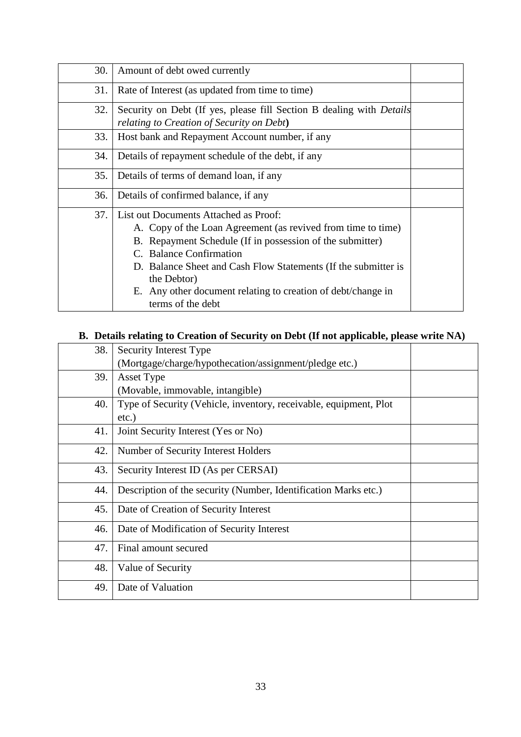| 30. | Amount of debt owed currently                                                                                                                                                                                                                                                                                                                                       |  |
|-----|---------------------------------------------------------------------------------------------------------------------------------------------------------------------------------------------------------------------------------------------------------------------------------------------------------------------------------------------------------------------|--|
| 31. | Rate of Interest (as updated from time to time)                                                                                                                                                                                                                                                                                                                     |  |
| 32. | Security on Debt (If yes, please fill Section B dealing with <i>Details</i><br>relating to Creation of Security on Debt)                                                                                                                                                                                                                                            |  |
| 33. | Host bank and Repayment Account number, if any                                                                                                                                                                                                                                                                                                                      |  |
| 34. | Details of repayment schedule of the debt, if any                                                                                                                                                                                                                                                                                                                   |  |
| 35. | Details of terms of demand loan, if any                                                                                                                                                                                                                                                                                                                             |  |
| 36. | Details of confirmed balance, if any                                                                                                                                                                                                                                                                                                                                |  |
| 37. | List out Documents Attached as Proof:<br>A. Copy of the Loan Agreement (as revived from time to time)<br>B. Repayment Schedule (If in possession of the submitter)<br>C. Balance Confirmation<br>D. Balance Sheet and Cash Flow Statements (If the submitter is<br>the Debtor)<br>E. Any other document relating to creation of debt/change in<br>terms of the debt |  |

# **B. Details relating to Creation of Security on Debt (If not applicable, please write NA)**

| 38. | Security Interest Type                                                        |  |
|-----|-------------------------------------------------------------------------------|--|
|     | (Mortgage/charge/hypothecation/assignment/pledge etc.)                        |  |
| 39. | Asset Type                                                                    |  |
|     | (Movable, immovable, intangible)                                              |  |
| 40. | Type of Security (Vehicle, inventory, receivable, equipment, Plot<br>$etc.$ ) |  |
| 41. | Joint Security Interest (Yes or No)                                           |  |
| 42. | Number of Security Interest Holders                                           |  |
| 43. | Security Interest ID (As per CERSAI)                                          |  |
| 44. | Description of the security (Number, Identification Marks etc.)               |  |
| 45. | Date of Creation of Security Interest                                         |  |
| 46. | Date of Modification of Security Interest                                     |  |
| 47. | Final amount secured                                                          |  |
| 48. | Value of Security                                                             |  |
| 49. | Date of Valuation                                                             |  |